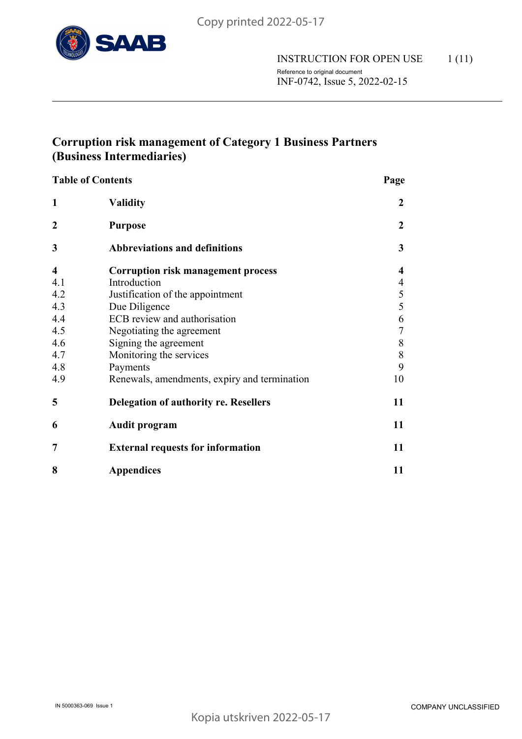

# **Corruption risk management of Category 1 Business Partners (Business Intermediaries)**

| <b>Table of Contents</b> | Page                                         |                  |
|--------------------------|----------------------------------------------|------------------|
| $\mathbf{1}$             | <b>Validity</b>                              | 2                |
| $\overline{2}$           | <b>Purpose</b>                               | $\overline{2}$   |
| 3                        | <b>Abbreviations and definitions</b>         | 3                |
| $\overline{\mathbf{4}}$  | <b>Corruption risk management process</b>    | 4                |
| 4.1                      | Introduction                                 | 4                |
| 4.2                      | Justification of the appointment             | 5                |
| 4.3                      | Due Diligence                                | 5                |
| 4.4                      | ECB review and authorisation                 | 6                |
| 4.5                      | Negotiating the agreement                    | $\boldsymbol{7}$ |
| 4.6                      | Signing the agreement                        | 8                |
| 4.7                      | Monitoring the services                      | 8                |
| 4.8                      | Payments                                     | 9                |
| 4.9                      | Renewals, amendments, expiry and termination | 10               |
| 5                        | <b>Delegation of authority re. Resellers</b> | 11               |
| 6                        | Audit program                                | 11               |
| 7                        | <b>External requests for information</b>     | 11               |
| 8                        | <b>Appendices</b>                            | 11               |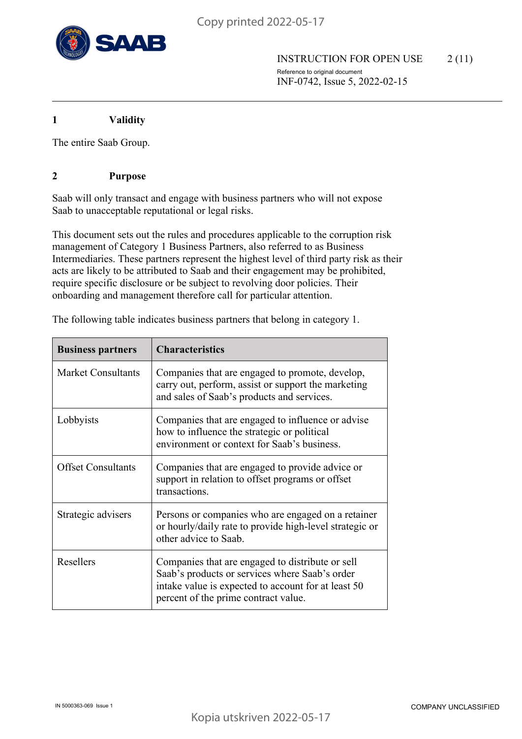

**1 Validity**

The entire Saab Group.

## **2 Purpose**

Saab will only transact and engage with business partners who will not expose Saab to unacceptable reputational or legal risks.

This document sets out the rules and procedures applicable to the corruption risk management of Category 1 Business Partners, also referred to as Business Intermediaries. These partners represent the highest level of third party risk as their acts are likely to be attributed to Saab and their engagement may be prohibited, require specific disclosure or be subject to revolving door policies. Their onboarding and management therefore call for particular attention.

| <b>Business partners</b>  | <b>Characteristics</b>                                                                                                                                                                            |
|---------------------------|---------------------------------------------------------------------------------------------------------------------------------------------------------------------------------------------------|
| <b>Market Consultants</b> | Companies that are engaged to promote, develop,<br>carry out, perform, assist or support the marketing<br>and sales of Saab's products and services.                                              |
| Lobbyists                 | Companies that are engaged to influence or advise<br>how to influence the strategic or political<br>environment or context for Saab's business.                                                   |
| <b>Offset Consultants</b> | Companies that are engaged to provide advice or<br>support in relation to offset programs or offset<br>transactions.                                                                              |
| Strategic advisers        | Persons or companies who are engaged on a retainer<br>or hourly/daily rate to provide high-level strategic or<br>other advice to Saab.                                                            |
| Resellers                 | Companies that are engaged to distribute or sell<br>Saab's products or services where Saab's order<br>intake value is expected to account for at least 50<br>percent of the prime contract value. |

The following table indicates business partners that belong in category 1.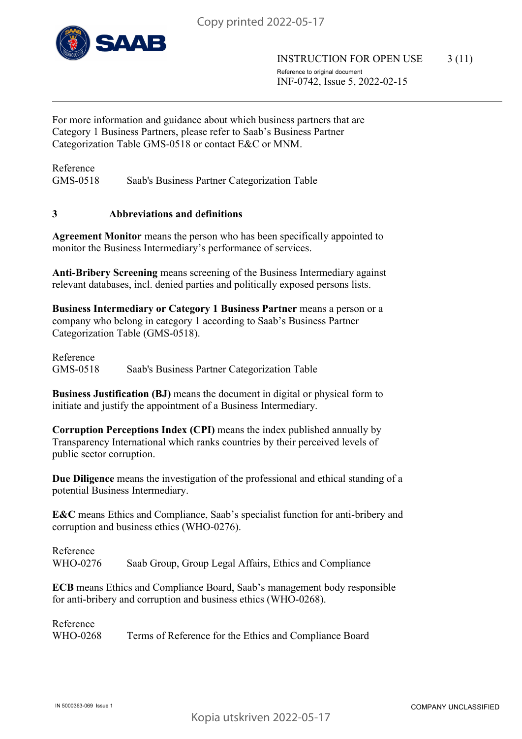

For more information and guidance about which business partners that are Category 1 Business Partners, please refer to Saab's Business Partner Categorization Table GMS-0518 or contact E&C or MNM.

Reference GMS-0518 Saab's Business Partner Categorization Table

## **3 Abbreviations and definitions**

**Agreement Monitor** means the person who has been specifically appointed to monitor the Business Intermediary's performance of services.

**Anti-Bribery Screening** means screening of the Business Intermediary against relevant databases, incl. denied parties and politically exposed persons lists.

**Business Intermediary or Category 1 Business Partner** means a person or a company who belong in category 1 according to Saab's Business Partner Categorization Table (GMS-0518).

Reference GMS-0518 Saab's Business Partner Categorization Table

**Business Justification (BJ)** means the document in digital or physical form to initiate and justify the appointment of a Business Intermediary.

**Corruption Perceptions Index (CPI)** means the index published annually by Transparency International which ranks countries by their perceived levels of public sector corruption.

**Due Diligence** means the investigation of the professional and ethical standing of a potential Business Intermediary.

**E&C** means Ethics and Compliance, Saab's specialist function for anti-bribery and corruption and business ethics (WHO-0276).

Reference WHO-0276 Saab Group, Group Legal Affairs, Ethics and Compliance

**ECB** means Ethics and Compliance Board, Saab's management body responsible for anti-bribery and corruption and business ethics (WHO-0268).

Reference WHO-0268 Terms of Reference for the Ethics and Compliance Board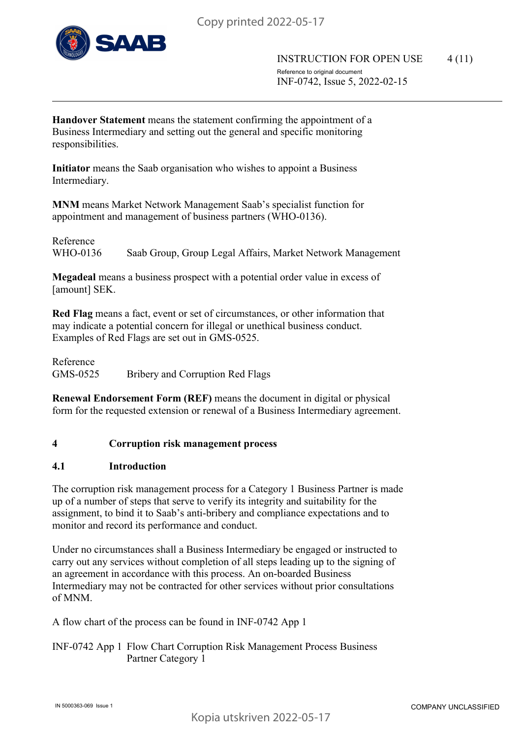

**Handover Statement** means the statement confirming the appointment of a Business Intermediary and setting out the general and specific monitoring responsibilities.

**Initiator** means the Saab organisation who wishes to appoint a Business Intermediary.

**MNM** means Market Network Management Saab's specialist function for appointment and management of business partners (WHO-0136).

Reference WHO-0136 Saab Group, Group Legal Affairs, Market Network Management

**Megadeal** means a business prospect with a potential order value in excess of [amount] SEK.

**Red Flag** means a fact, event or set of circumstances, or other information that may indicate a potential concern for illegal or unethical business conduct. Examples of Red Flags are set out in GMS-0525.

Reference GMS-0525 Bribery and Corruption Red Flags

**Renewal Endorsement Form (REF)** means the document in digital or physical form for the requested extension or renewal of a Business Intermediary agreement.

# **4 Corruption risk management process**

#### **4.1 Introduction**

The corruption risk management process for a Category 1 Business Partner is made up of a number of steps that serve to verify its integrity and suitability for the assignment, to bind it to Saab's anti-bribery and compliance expectations and to monitor and record its performance and conduct.

Under no circumstances shall a Business Intermediary be engaged or instructed to carry out any services without completion of all steps leading up to the signing of an agreement in accordance with this process. An on-boarded Business Intermediary may not be contracted for other services without prior consultations of MNM.

A flow chart of the process can be found in INF-0742 App 1

INF-0742 App 1 Flow Chart Corruption Risk Management Process Business Partner Category 1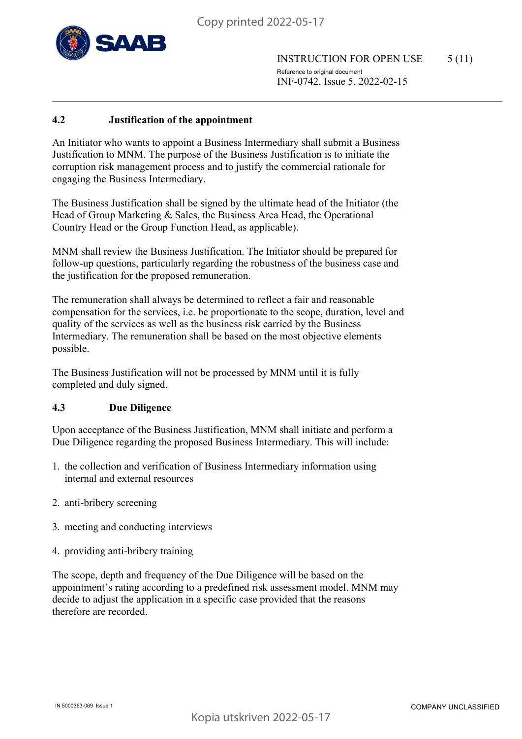

INSTRUCTION FOR OPEN USE 5 (11) Reference to original document INF-0742, Issue 5, 2022-02-15

## **4.2 Justification of the appointment**

An Initiator who wants to appoint a Business Intermediary shall submit a Business Justification to MNM. The purpose of the Business Justification is to initiate the corruption risk management process and to justify the commercial rationale for engaging the Business Intermediary.

The Business Justification shall be signed by the ultimate head of the Initiator (the Head of Group Marketing & Sales, the Business Area Head, the Operational Country Head or the Group Function Head, as applicable).

MNM shall review the Business Justification. The Initiator should be prepared for follow-up questions, particularly regarding the robustness of the business case and the justification for the proposed remuneration.

The remuneration shall always be determined to reflect a fair and reasonable compensation for the services, i.e. be proportionate to the scope, duration, level and quality of the services as well as the business risk carried by the Business Intermediary. The remuneration shall be based on the most objective elements possible.

The Business Justification will not be processed by MNM until it is fully completed and duly signed.

#### **4.3 Due Diligence**

Upon acceptance of the Business Justification, MNM shall initiate and perform a Due Diligence regarding the proposed Business Intermediary. This will include:

- 1. the collection and verification of Business Intermediary information using internal and external resources
- 2. anti-bribery screening
- 3. meeting and conducting interviews
- 4. providing anti-bribery training

The scope, depth and frequency of the Due Diligence will be based on the appointment's rating according to a predefined risk assessment model. MNM may decide to adjust the application in a specific case provided that the reasons therefore are recorded.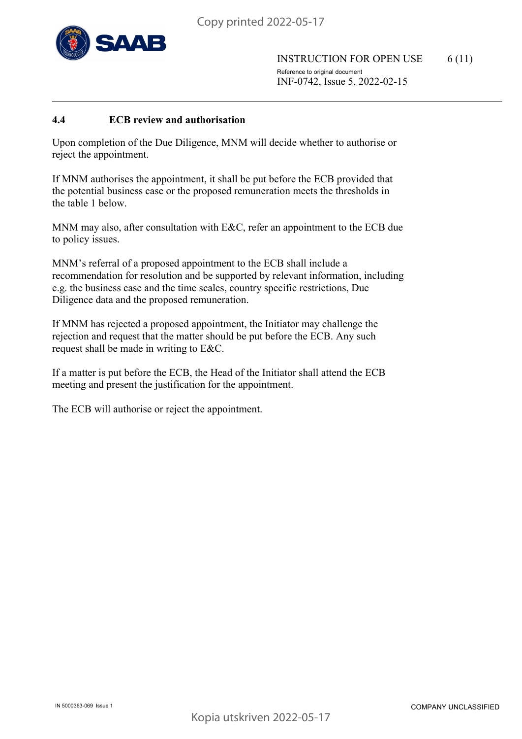

INSTRUCTION FOR OPEN USE 6 (11) Reference to original document INF-0742, Issue 5, 2022-02-15

#### **4.4 ECB review and authorisation**

Upon completion of the Due Diligence, MNM will decide whether to authorise or reject the appointment.

If MNM authorises the appointment, it shall be put before the ECB provided that the potential business case or the proposed remuneration meets the thresholds in the table 1 below.

MNM may also, after consultation with E&C, refer an appointment to the ECB due to policy issues.

MNM's referral of a proposed appointment to the ECB shall include a recommendation for resolution and be supported by relevant information, including e.g. the business case and the time scales, country specific restrictions, Due Diligence data and the proposed remuneration.

If MNM has rejected a proposed appointment, the Initiator may challenge the rejection and request that the matter should be put before the ECB. Any such request shall be made in writing to E&C.

If a matter is put before the ECB, the Head of the Initiator shall attend the ECB meeting and present the justification for the appointment.

The ECB will authorise or reject the appointment.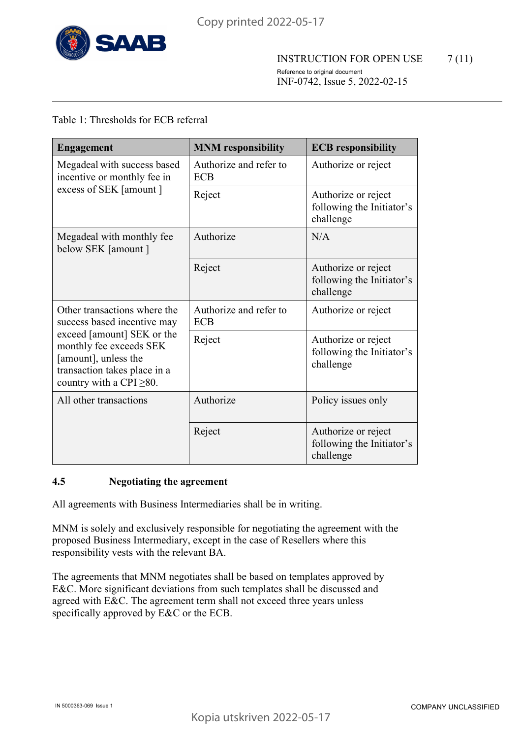

# Table 1: Thresholds for ECB referral

| <b>Engagement</b>                                                                                                                              | <b>MNM</b> responsibility            | <b>ECB</b> responsibility                                     |
|------------------------------------------------------------------------------------------------------------------------------------------------|--------------------------------------|---------------------------------------------------------------|
| Megadeal with success based<br>incentive or monthly fee in                                                                                     | Authorize and refer to<br><b>ECB</b> | Authorize or reject                                           |
| excess of SEK [amount]                                                                                                                         | Reject                               | Authorize or reject<br>following the Initiator's<br>challenge |
| Megadeal with monthly fee<br>below SEK [amount ]                                                                                               | Authorize                            | N/A                                                           |
|                                                                                                                                                | Reject                               | Authorize or reject<br>following the Initiator's<br>challenge |
| Other transactions where the<br>success based incentive may                                                                                    | Authorize and refer to<br><b>ECB</b> | Authorize or reject                                           |
| exceed [amount] SEK or the<br>monthly fee exceeds SEK<br>[amount], unless the<br>transaction takes place in a<br>country with a CPI $\geq$ 80. | Reject                               | Authorize or reject<br>following the Initiator's<br>challenge |
| All other transactions                                                                                                                         | Authorize                            | Policy issues only                                            |
|                                                                                                                                                | Reject                               | Authorize or reject<br>following the Initiator's<br>challenge |

#### **4.5 Negotiating the agreement**

All agreements with Business Intermediaries shall be in writing.

MNM is solely and exclusively responsible for negotiating the agreement with the proposed Business Intermediary, except in the case of Resellers where this responsibility vests with the relevant BA.

The agreements that MNM negotiates shall be based on templates approved by E&C. More significant deviations from such templates shall be discussed and agreed with E&C. The agreement term shall not exceed three years unless specifically approved by E&C or the ECB.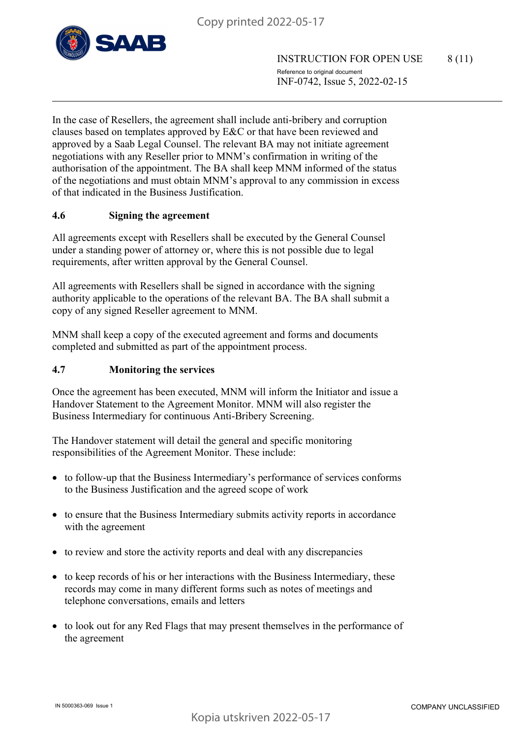

In the case of Resellers, the agreement shall include anti-bribery and corruption clauses based on templates approved by E&C or that have been reviewed and approved by a Saab Legal Counsel. The relevant BA may not initiate agreement negotiations with any Reseller prior to MNM's confirmation in writing of the authorisation of the appointment. The BA shall keep MNM informed of the status of the negotiations and must obtain MNM's approval to any commission in excess of that indicated in the Business Justification.

# **4.6 Signing the agreement**

All agreements except with Resellers shall be executed by the General Counsel under a standing power of attorney or, where this is not possible due to legal requirements, after written approval by the General Counsel.

All agreements with Resellers shall be signed in accordance with the signing authority applicable to the operations of the relevant BA. The BA shall submit a copy of any signed Reseller agreement to MNM.

MNM shall keep a copy of the executed agreement and forms and documents completed and submitted as part of the appointment process.

## **4.7 Monitoring the services**

Once the agreement has been executed, MNM will inform the Initiator and issue a Handover Statement to the Agreement Monitor. MNM will also register the Business Intermediary for continuous Anti-Bribery Screening.

The Handover statement will detail the general and specific monitoring responsibilities of the Agreement Monitor. These include:

- to follow-up that the Business Intermediary's performance of services conforms to the Business Justification and the agreed scope of work
- to ensure that the Business Intermediary submits activity reports in accordance with the agreement
- to review and store the activity reports and deal with any discrepancies
- to keep records of his or her interactions with the Business Intermediary, these records may come in many different forms such as notes of meetings and telephone conversations, emails and letters
- to look out for any Red Flags that may present themselves in the performance of the agreement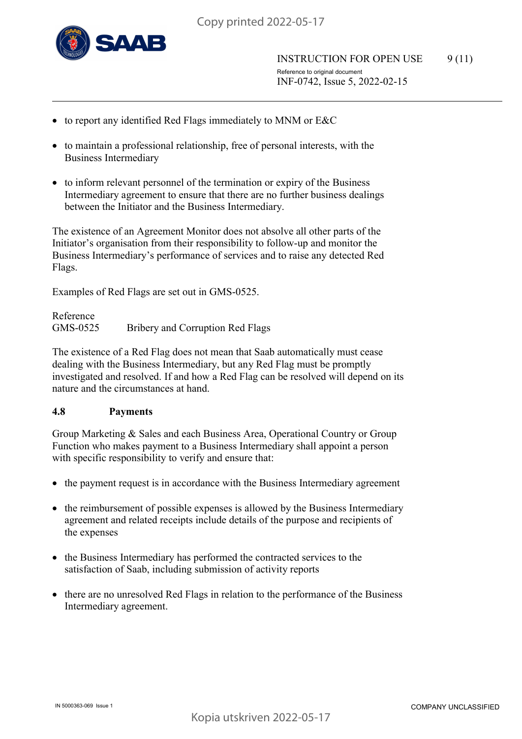

- to report any identified Red Flags immediately to MNM or E&C
- to maintain a professional relationship, free of personal interests, with the Business Intermediary
- to inform relevant personnel of the termination or expiry of the Business Intermediary agreement to ensure that there are no further business dealings between the Initiator and the Business Intermediary.

The existence of an Agreement Monitor does not absolve all other parts of the Initiator's organisation from their responsibility to follow-up and monitor the Business Intermediary's performance of services and to raise any detected Red Flags.

Examples of Red Flags are set out in GMS-0525.

Reference GMS-0525 Bribery and Corruption Red Flags

The existence of a Red Flag does not mean that Saab automatically must cease dealing with the Business Intermediary, but any Red Flag must be promptly investigated and resolved. If and how a Red Flag can be resolved will depend on its nature and the circumstances at hand.

#### **4.8 Payments**

Group Marketing & Sales and each Business Area, Operational Country or Group Function who makes payment to a Business Intermediary shall appoint a person with specific responsibility to verify and ensure that:

- the payment request is in accordance with the Business Intermediary agreement
- the reimbursement of possible expenses is allowed by the Business Intermediary agreement and related receipts include details of the purpose and recipients of the expenses
- the Business Intermediary has performed the contracted services to the satisfaction of Saab, including submission of activity reports
- there are no unresolved Red Flags in relation to the performance of the Business Intermediary agreement.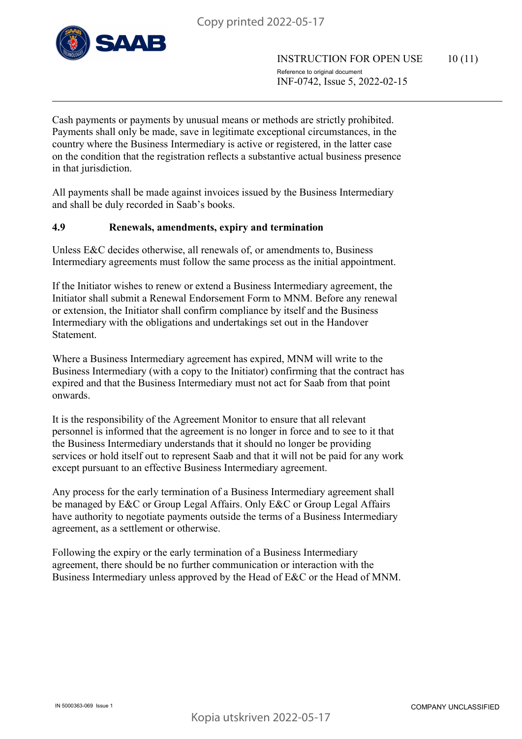

INSTRUCTION FOR OPEN USE 10 (11) Reference to original document INF-0742, Issue 5, 2022-02-15

Cash payments or payments by unusual means or methods are strictly prohibited. Payments shall only be made, save in legitimate exceptional circumstances, in the country where the Business Intermediary is active or registered, in the latter case on the condition that the registration reflects a substantive actual business presence in that jurisdiction.

All payments shall be made against invoices issued by the Business Intermediary and shall be duly recorded in Saab's books.

#### **4.9 Renewals, amendments, expiry and termination**

Unless E&C decides otherwise, all renewals of, or amendments to, Business Intermediary agreements must follow the same process as the initial appointment.

If the Initiator wishes to renew or extend a Business Intermediary agreement, the Initiator shall submit a Renewal Endorsement Form to MNM. Before any renewal or extension, the Initiator shall confirm compliance by itself and the Business Intermediary with the obligations and undertakings set out in the Handover Statement.

Where a Business Intermediary agreement has expired, MNM will write to the Business Intermediary (with a copy to the Initiator) confirming that the contract has expired and that the Business Intermediary must not act for Saab from that point onwards.

It is the responsibility of the Agreement Monitor to ensure that all relevant personnel is informed that the agreement is no longer in force and to see to it that the Business Intermediary understands that it should no longer be providing services or hold itself out to represent Saab and that it will not be paid for any work except pursuant to an effective Business Intermediary agreement.

Any process for the early termination of a Business Intermediary agreement shall be managed by E&C or Group Legal Affairs. Only E&C or Group Legal Affairs have authority to negotiate payments outside the terms of a Business Intermediary agreement, as a settlement or otherwise.

Following the expiry or the early termination of a Business Intermediary agreement, there should be no further communication or interaction with the Business Intermediary unless approved by the Head of E&C or the Head of MNM.